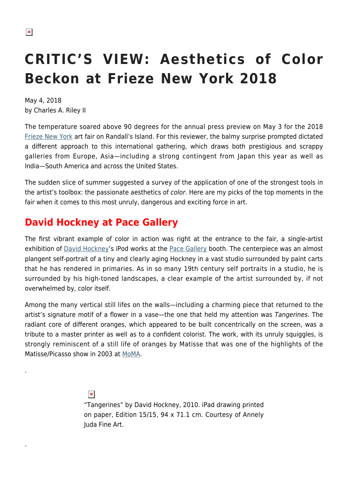.

.

# **CRITIC'S VIEW: Aesthetics of Color Beckon at Frieze New York 2018**

May 4, 2018 by Charles A. Riley II

The temperature soared above 90 degrees for the annual press preview on May 3 for the 2018 [Frieze New York](https://hamptonsarthub.com/2017/05/05/art-fairs-critics-view-five-booths-not-to-miss-at-frieze-new-york-this-year/) art fair on Randall's Island. For this reviewer, the balmy surprise prompted dictated a different approach to this international gathering, which draws both prestigious and scrappy galleries from Europe, Asia—including a strong contingent from Japan this year as well as India—South America and across the United States.

The sudden slice of summer suggested a survey of the application of one of the strongest tools in the artist's toolbox: the passionate aesthetics of color. Here are my picks of the top moments in the fair when it comes to this most unruly, dangerous and exciting force in art.

# **David Hockney at Pace Gallery**

The first vibrant example of color in action was right at the entrance to the fair, a single-artist exhibition of [David Hockney](http://www.davidhockney.co/)'s iPod works at the [Pace Gallery](https://www.pacegallery.com/) booth. The centerpiece was an almost plangent self-portrait of a tiny and clearly aging Hockney in a vast studio surrounded by paint carts that he has rendered in primaries. As in so many 19th century self portraits in a studio, he is surrounded by his high-toned landscapes, a clear example of the artist surrounded by, if not overwhelmed by, color itself.

Among the many vertical still lifes on the walls—including a charming piece that returned to the artist's signature motif of a flower in a vase—the one that held my attention was Tangerines. The radiant core of different oranges, which appeared to be built concentrically on the screen, was a tribute to a master printer as well as to a confident colorist. The work, with its unruly squiggles, is strongly reminiscent of a still life of oranges by Matisse that was one of the highlights of the Matisse/Picasso show in 2003 at [MoMA.](https://hamptonsarthub.com/museum-guide/museum-of-modern-art/)

> $\pmb{\times}$ "Tangerines" by David Hockney, 2010. iPad drawing printed on paper, Edition 15/15, 94 x 71.1 cm. Courtesy of Annely Juda Fine Art.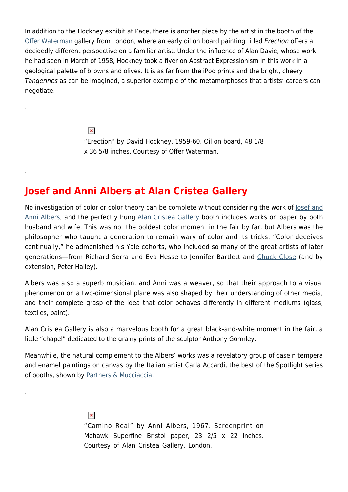In addition to the Hockney exhibit at Pace, there is another piece by the artist in the booth of the [Offer Waterman](https://www.waterman.co.uk/) gallery from London, where an early oil on board painting titled Erection offers a decidedly different perspective on a familiar artist. Under the influence of Alan Davie, whose work he had seen in March of 1958, Hockney took a flyer on Abstract Expressionism in this work in a geological palette of browns and olives. It is as far from the iPod prints and the bright, cheery Tangerines as can be imagined, a superior example of the metamorphoses that artists' careers can negotiate.

> $\pmb{\times}$ "Erection" by David Hockney, 1959-60. Oil on board, 48 1/8 x 36 5/8 inches. Courtesy of Offer Waterman.

### **Josef and Anni Albers at Alan Cristea Gallery**

.

.

.

No investigation of color or color theory can be complete without considering the work of losef and [Anni Albers,](http://www.albersfoundation.org/) and the perfectly hung [Alan Cristea Gallery](https://www.alancristea.com/) booth includes works on paper by both husband and wife. This was not the boldest color moment in the fair by far, but Albers was the philosopher who taught a generation to remain wary of color and its tricks. "Color deceives continually," he admonished his Yale cohorts, who included so many of the great artists of later generations—from Richard Serra and Eva Hesse to Jennifer Bartlett and [Chuck Close](https://hamptonsarthub.com/2013/09/09/art-review-sumptuous-portraits-by-chuck-close-at-guild-hall-museum/) (and by extension, Peter Halley).

Albers was also a superb musician, and Anni was a weaver, so that their approach to a visual phenomenon on a two-dimensional plane was also shaped by their understanding of other media, and their complete grasp of the idea that color behaves differently in different mediums (glass, textiles, paint).

Alan Cristea Gallery is also a marvelous booth for a great black-and-white moment in the fair, a little "chapel" dedicated to the grainy prints of the sculptor Anthony Gormley.

Meanwhile, the natural complement to the Albers' works was a revelatory group of casein tempera and enamel paintings on canvas by the Italian artist Carla Accardi, the best of the Spotlight series of booths, shown by [Partners & Mucciaccia.](https://www.partnersandmucciaccia.net/)

> $\pmb{\times}$ "Camino Real" by Anni Albers, 1967. Screenprint on Mohawk Superfine Bristol paper, 23 2/5 x 22 inches. Courtesy of Alan Cristea Gallery, London.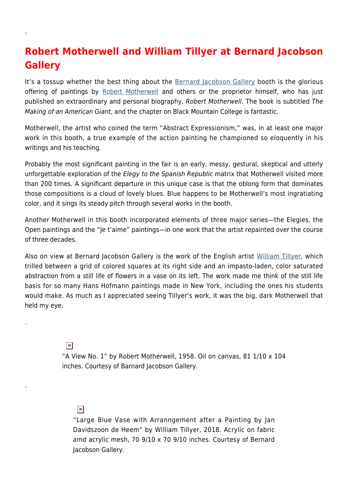# **Robert Motherwell and William Tillyer at Bernard Jacobson Gallery**

It's a tossup whether the best thing about the [Bernard Jacobson Gallery](http://www.jacobsongallery.com/) booth is the glorious offering of paintings by [Robert Motherwell](https://hamptonsarthub.com/2014/08/25/art-review-at-guild-hall-motherwells-process-of-evolution-revealed/) and others or the proprietor himself, who has just published an extraordinary and personal biography, Robert Motherwell. The book is subtitled The Making of an American Giant, and the chapter on Black Mountain College is fantastic.

Motherwell, the artist who coined the term "Abstract Expressionism," was, in at least one major work in this booth, a true example of the action painting he championed so eloquently in his writings and his teaching.

Probably the most significant painting in the fair is an early, messy, gestural, skeptical and utterly unforgettable exploration of the Elegy to the Spanish Republic matrix that Motherwell visited more than 200 times. A significant departure in this unique case is that the oblong form that dominates those compositions is a cloud of lovely blues. Blue happens to be Motherwell's most ingratiating color, and it sings its steady pitch through several works in the booth.

Another Motherwell in this booth incorporated elements of three major series—the Elegies, the Open paintings and the "Je t'aime" paintings—in one work that the artist repainted over the course of three decades.

Also on view at Bernard Jacobson Gallery is the work of the English artist [William Tillyer,](http://www.tillyer.com/) which trilled between a grid of colored squares at its right side and an impasto-laden, color saturated abstraction from a still life of flowers in a vase on its left. The work made me think of the still life basis for so many Hans Hofmann paintings made in New York, including the ones his students would make. As much as I appreciated seeing Tillyer's work, it was the big, dark Motherwell that held my eye.

#### "A View No. 1" by Robert Motherwell, 1958. Oil on canvas, 81 1/10 x 104 inches. Courtesy of Barnard Jacobson Gallery.

#### $\pmb{\times}$

 $\pmb{\times}$ 

.

.

.

"Large Blue Vase with Arranngement after a Painting by Jan Davidszoon de Heem" by William Tillyer, 2018. Acrylic on fabric amd acrylic mesh, 70 9/10 x 70 9/10 inches. Courtesy of Bernard Jacobson Gallery.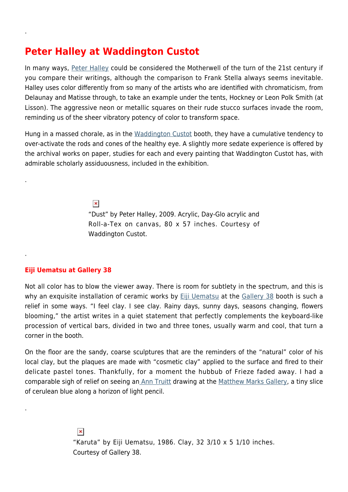# **Peter Halley at Waddington Custot**

In many ways, [Peter Halley](https://www.peterhalley.com/) could be considered the Motherwell of the turn of the 21st century if you compare their writings, although the comparison to Frank Stella always seems inevitable. Halley uses color differently from so many of the artists who are identified with chromaticism, from Delaunay and Matisse through, to take an example under the tents, Hockney or Leon Polk Smith (at Lisson). The aggressive neon or metallic squares on their rude stucco surfaces invade the room, reminding us of the sheer vibratory potency of color to transform space.

Hung in a massed chorale, as in the [Waddington Custot](https://www.waddingtoncustot.com/) booth, they have a cumulative tendency to over-activate the rods and cones of the healthy eye. A slightly more sedate experience is offered by the archival works on paper, studies for each and every painting that Waddington Custot has, with admirable scholarly assiduousness, included in the exhibition.

 $\pmb{\times}$ 

"Dust" by Peter Halley, 2009. Acrylic, Day-Glo acrylic and Roll-a-Tex on canvas, 80 x 57 inches. Courtesy of Waddington Custot.

#### **Eiji Uematsu at Gallery 38**

.

.

.

.

Not all color has to blow the viewer away. There is room for subtlety in the spectrum, and this is why an exquisite installation of ceramic works by [Eiji Uematsu](https://www.artsy.net/show/gallery-38-eiji-uematsu-in-the-water-the-depths-of-the-forest) at the [Gallery 38](https://www.gallery-38.com/welcome-en/) booth is such a relief in some ways. "I feel clay. I see clay. Rainy days, sunny days, seasons changing, flowers blooming," the artist writes in a quiet statement that perfectly complements the keyboard-like procession of vertical bars, divided in two and three tones, usually warm and cool, that turn a corner in the booth.

On the floor are the sandy, coarse sculptures that are the reminders of the "natural" color of his local clay, but the plaques are made with "cosmetic clay" applied to the surface and fired to their delicate pastel tones. Thankfully, for a moment the hubbub of Frieze faded away. I had a comparable sigh of relief on seeing an [Ann Truitt](http://www.matthewmarks.com/new-york/artists/anne-truitt/) drawing at the [Matthew Marks Gallery](http://www.matthewmarks.com/), a tiny slice of cerulean blue along a horizon of light pencil.

> $\pmb{\times}$ "Karuta" by Eiji Uematsu, 1986. Clay, 32 3/10 x 5 1/10 inches. Courtesy of Gallery 38.